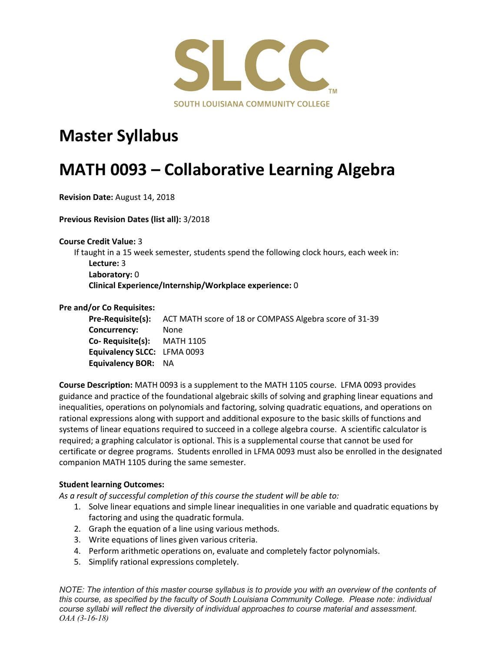

## **Master Syllabus**

# **MATH 0093 – Collaborative Learning Algebra**

**Revision Date:** August 14, 2018

**Previous Revision Dates (list all):** 3/2018

**Course Credit Value:** 3

If taught in a 15 week semester, students spend the following clock hours, each week in: **Lecture:** 3 **Laboratory:** 0 **Clinical Experience/Internship/Workplace experience:** 0

#### **Pre and/or Co Requisites:**

**Pre-Requisite(s):** ACT MATH score of 18 or COMPASS Algebra score of 31-39 **Concurrency:** None **Co- Requisite(s):** MATH 1105 **Equivalency SLCC:** LFMA 0093 **Equivalency BOR:** NA

**Course Description:** MATH 0093 is a supplement to the MATH 1105 course. LFMA 0093 provides guidance and practice of the foundational algebraic skills of solving and graphing linear equations and inequalities, operations on polynomials and factoring, solving quadratic equations, and operations on rational expressions along with support and additional exposure to the basic skills of functions and systems of linear equations required to succeed in a college algebra course. A scientific calculator is required; a graphing calculator is optional. This is a supplemental course that cannot be used for certificate or degree programs. Students enrolled in LFMA 0093 must also be enrolled in the designated companion MATH 1105 during the same semester.

#### **Student learning Outcomes:**

*As a result of successful completion of this course the student will be able to:*

- 1. Solve linear equations and simple linear inequalities in one variable and quadratic equations by factoring and using the quadratic formula.
- 2. Graph the equation of a line using various methods.
- 3. Write equations of lines given various criteria.
- 4. Perform arithmetic operations on, evaluate and completely factor polynomials.
- 5. Simplify rational expressions completely.

*NOTE: The intention of this master course syllabus is to provide you with an overview of the contents of this course, as specified by the faculty of South Louisiana Community College. Please note: individual course syllabi will reflect the diversity of individual approaches to course material and assessment. OAA (3-16-18)*